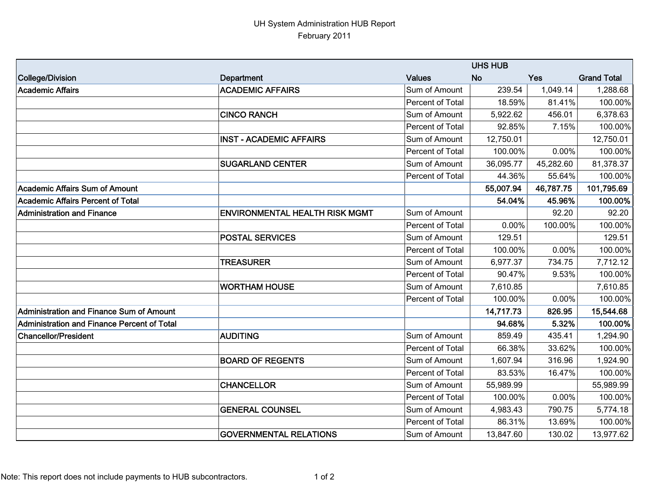## UH System Administration HUB Report February 2011

|                                             | <b>UHS HUB</b>                        |                  |           |           |                    |
|---------------------------------------------|---------------------------------------|------------------|-----------|-----------|--------------------|
| College/Division                            | Department                            | <b>Values</b>    | <b>No</b> | Yes       | <b>Grand Total</b> |
| Academic Affairs                            | <b>ACADEMIC AFFAIRS</b>               | Sum of Amount    | 239.54    | 1,049.14  | 1,288.68           |
|                                             |                                       | Percent of Total | 18.59%    | 81.41%    | 100.00%            |
|                                             | <b>CINCO RANCH</b>                    | Sum of Amount    | 5,922.62  | 456.01    | 6,378.63           |
|                                             |                                       | Percent of Total | 92.85%    | 7.15%     | 100.00%            |
|                                             | <b>INST - ACADEMIC AFFAIRS</b>        | Sum of Amount    | 12,750.01 |           | 12,750.01          |
|                                             |                                       | Percent of Total | 100.00%   | 0.00%     | 100.00%            |
|                                             | <b>SUGARLAND CENTER</b>               | Sum of Amount    | 36,095.77 | 45,282.60 | 81,378.37          |
|                                             |                                       | Percent of Total | 44.36%    | 55.64%    | 100.00%            |
| Academic Affairs Sum of Amount              |                                       |                  | 55,007.94 | 46,787.75 | 101,795.69         |
| Academic Affairs Percent of Total           |                                       |                  | 54.04%    | 45.96%    | 100.00%            |
| <b>Administration and Finance</b>           | <b>ENVIRONMENTAL HEALTH RISK MGMT</b> | Sum of Amount    |           | 92.20     | 92.20              |
|                                             |                                       | Percent of Total | 0.00%     | 100.00%   | 100.00%            |
|                                             | <b>POSTAL SERVICES</b>                | Sum of Amount    | 129.51    |           | 129.51             |
|                                             |                                       | Percent of Total | 100.00%   | 0.00%     | 100.00%            |
|                                             | <b>TREASURER</b>                      | Sum of Amount    | 6,977.37  | 734.75    | 7,712.12           |
|                                             |                                       | Percent of Total | 90.47%    | 9.53%     | 100.00%            |
|                                             | <b>WORTHAM HOUSE</b>                  | Sum of Amount    | 7,610.85  |           | 7,610.85           |
|                                             |                                       | Percent of Total | 100.00%   | 0.00%     | 100.00%            |
| Administration and Finance Sum of Amount    |                                       |                  | 14,717.73 | 826.95    | 15,544.68          |
| Administration and Finance Percent of Total |                                       |                  | 94.68%    | 5.32%     | 100.00%            |
| <b>Chancellor/President</b>                 | <b>AUDITING</b>                       | Sum of Amount    | 859.49    | 435.41    | 1,294.90           |
|                                             |                                       | Percent of Total | 66.38%    | 33.62%    | 100.00%            |
|                                             | <b>BOARD OF REGENTS</b>               | Sum of Amount    | 1,607.94  | 316.96    | 1,924.90           |
|                                             |                                       | Percent of Total | 83.53%    | 16.47%    | 100.00%            |
|                                             | <b>CHANCELLOR</b>                     | Sum of Amount    | 55,989.99 |           | 55,989.99          |
|                                             |                                       | Percent of Total | 100.00%   | 0.00%     | 100.00%            |
|                                             | <b>GENERAL COUNSEL</b>                | Sum of Amount    | 4,983.43  | 790.75    | 5,774.18           |
|                                             |                                       | Percent of Total | 86.31%    | 13.69%    | 100.00%            |
|                                             | <b>GOVERNMENTAL RELATIONS</b>         | Sum of Amount    | 13,847.60 | 130.02    | 13,977.62          |